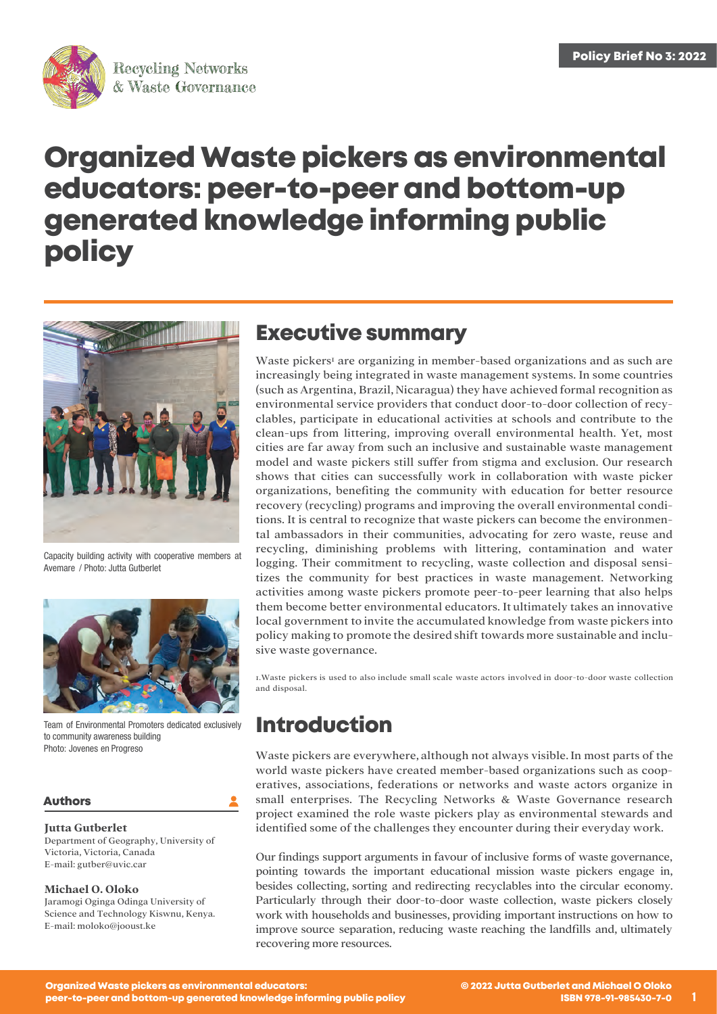

# **Organized Waste pickers as environmental educators: peer-to-peer and bottom-up generated knowledge informing public policy**



Capacity building activity with cooperative members at Avemare / Photo: Jutta Gutberlet



Team of Environmental Promoters dedicated exclusively to community awareness building Photo: Jovenes en Progreso

### **Authors**

### **Jutta Gutberlet**

Department of Geography, University of Victoria, Victoria, Canada E-mail: [gutber@uvic.car](mailto:gutber@uvic.car)

### **Michael O. Oloko**

Jaramogi Oginga Odinga University of Science and Technology Kiswnu, Kenya. E-mail: [moloko@jooust.ke](mailto:moloko@jooust.ke)

### **Executive summary**

Waste pickers<sup>1</sup> are organizing in member-based organizations and as such are increasingly being integrated in waste management systems. In some countries (such as Argentina, Brazil, Nicaragua) they have achieved formal recognition as environmental service providers that conduct door-to-door collection of recyclables, participate in educational activities at schools and contribute to the clean-ups from littering, improving overall environmental health. Yet, most cities are far away from such an inclusive and sustainable waste management model and waste pickers still suffer from stigma and exclusion. Our research shows that cities can successfully work in collaboration with waste picker organizations, benefiting the community with education for better resource recovery (recycling) programs and improving the overall environmental conditions. It is central to recognize that waste pickers can become the environmental ambassadors in their communities, advocating for zero waste, reuse and recycling, diminishing problems with littering, contamination and water logging. Their commitment to recycling, waste collection and disposal sensitizes the community for best practices in waste management. Networking activities among waste pickers promote peer-to-peer learning that also helps them become better environmental educators. It ultimately takes an innovative local government to invite the accumulated knowledge from waste pickers into policy making to promote the desired shift towards more sustainable and inclusive waste governance.

1.Waste pickers is used to also include small scale waste actors involved in door-to-door waste collection and disposal.

# **Introduction**

Waste pickers are everywhere, although not always visible. In most parts of the world waste pickers have created member-based organizations such as cooperatives, associations, federations or networks and waste actors organize in small enterprises. The Recycling Networks & Waste Governance research project examined the role waste pickers play as environmental stewards and identified some of the challenges they encounter during their everyday work.

Our findings support arguments in favour of inclusive forms of waste governance, pointing towards the important educational mission waste pickers engage in, besides collecting, sorting and redirecting recyclables into the circular economy. Particularly through their door-to-door waste collection, waste pickers closely work with households and businesses, providing important instructions on how to improve source separation, reducing waste reaching the landfills and, ultimately recovering more resources.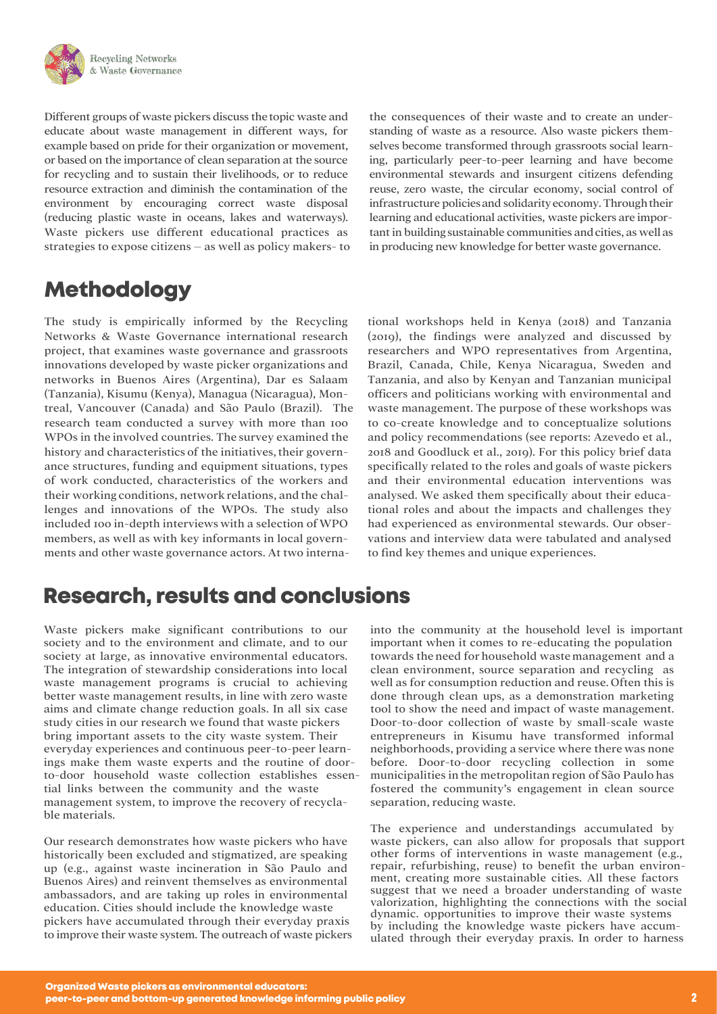

Different groups of waste pickers discuss the topic waste and educate about waste management in different ways, for example based on pride for their organization or movement, or based on the importance of clean separation at the source for recycling and to sustain their livelihoods, or to reduce resource extraction and diminish the contamination of the environment by encouraging correct waste disposal (reducing plastic waste in oceans, lakes and waterways). Waste pickers use different educational practices as strategies to expose citizens – as well as policy makers- to

# **Methodology**

The study is empirically informed by the Recycling Networks & Waste Governance international research project, that examines waste governance and grassroots innovations developed by waste picker organizations and networks in Buenos Aires (Argentina), Dar es Salaam (Tanzania), Kisumu (Kenya), Managua (Nicaragua), Montreal, Vancouver (Canada) and São Paulo (Brazil). The research team conducted a survey with more than 100 WPOs in the involved countries. The survey examined the history and characteristics of the initiatives, their governance structures, funding and equipment situations, types of work conducted, characteristics of the workers and their working conditions, network relations, and the challenges and innovations of the WPOs. The study also included 100 in-depth interviews with a selection ofWPO members, as well as with key informants in local governments and other waste governance actors. At two interna-

# **Research, results and conclusions**

Waste pickers make significant contributions to our society and to the environment and climate, and to our society at large, as innovative environmental educators. The integration of stewardship considerations into local waste management programs is crucial to achieving better waste management results, in line with zero waste aims and climate change reduction goals. In all six case study cities in our research we found that waste pickers bring important assets to the city waste system. Their everyday experiences and continuous peer-to-peer learnings make them waste experts and the routine of doorto-door household waste collection establishes essential links between the community and the waste management system, to improve the recovery of recyclable materials.

Our research demonstrates how waste pickers who have historically been excluded and stigmatized, are speaking up (e.g., against waste incineration in São Paulo and Buenos Aires) and reinvent themselves as environmental ambassadors, and are taking up roles in environmental education. Cities should include the knowledge waste pickers have accumulated through their everyday praxis to improve their waste system. The outreach of waste pickers the consequences of their waste and to create an understanding of waste as a resource. Also waste pickers themselves become transformed through grassroots social learning, particularly peer-to-peer learning and have become environmental stewards and insurgent citizens defending reuse, zero waste, the circular economy, social control of infrastructure policiesand solidarityeconomy. Through their learning and educational activities, waste pickers are important in building sustainable communities and cities, as well as in producing new knowledge for better waste governance.

tional workshops held in Kenya (2018) and Tanzania (2019), the findings were analyzed and discussed by researchers and WPO representatives from Argentina, Brazil, Canada, Chile, Kenya Nicaragua, Sweden and Tanzania, and also by Kenyan and Tanzanian municipal officers and politicians working with environmental and waste management. The purpose of these workshops was to co-create knowledge and to conceptualize solutions and policy recommendations (see reports: Azevedo et al., 2018 and Goodluck et al., 2019). For this policy brief data specifically related to the roles and goals of waste pickers and their environmental education interventions was analysed. We asked them specifically about their educational roles and about the impacts and challenges they had experienced as environmental stewards. Our observations and interview data were tabulated and analysed to find key themes and unique experiences.

into the community at the household level is important important when it comes to re-educating the population towards the need for household waste management and a clean environment, source separation and recycling as well as for consumption reduction and reuse. Often this is done through clean ups, as a demonstration marketing tool to show the need and impact of waste management. Door-to-door collection of waste by small-scale waste entrepreneurs in Kisumu have transformed informal neighborhoods, providing a service where there was none before. Door-to-door recycling collection in some municipalities in the metropolitan region of São Paulo has fostered the community's engagement in clean source separation, reducing waste.

The experience and understandings accumulated by waste pickers, can also allow for proposals that support other forms of interventions in waste management (e.g., repair, refurbishing, reuse) to benefit the urban environment, creating more sustainable cities. All these factors suggest that we need a broader understanding of waste valorization, highlighting the connections with the social dynamic. opportunities to improve their waste systems by including the knowledge waste pickers have accumulated through their everyday praxis. In order to harness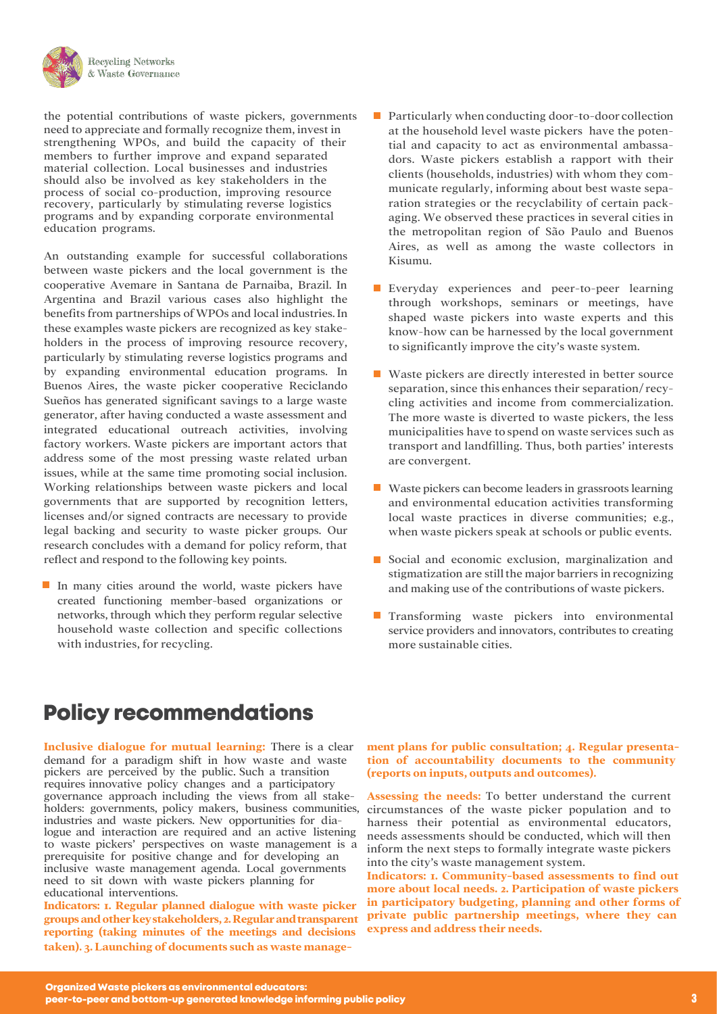

the potential contributions of waste pickers, governments need to appreciate and formally recognize them, invest in strengthening WPOs, and build the capacity of their members to further improve and expand separated material collection. Local businesses and industries should also be involved as key stakeholders in the process of social co-production, improving resource recovery, particularly by stimulating reverse logistics programs and by expanding corporate environmental education programs.

An outstanding example for successful collaborations between waste pickers and the local government is the cooperative Avemare in Santana de Parnaiba, Brazil. In Argentina and Brazil various cases also highlight the benefits from partnerships ofWPOs and local industries. In these examples waste pickers are recognized as key stakeholders in the process of improving resource recovery, particularly by stimulating reverse logistics programs and by expanding environmental education programs. In Buenos Aires, the waste picker cooperative Reciclando Sueños has generated significant savings to a large waste generator, after having conducted a waste assessment and integrated educational outreach activities, involving factory workers. Waste pickers are important actors that address some of the most pressing waste related urban issues, while at the same time promoting social inclusion. Working relationships between waste pickers and local governments that are supported by recognition letters, licenses and/or signed contracts are necessary to provide legal backing and security to waste picker groups. Our research concludes with a demand for policy reform, that reflect and respond to the following key points.

In many cities around the world, waste pickers have created functioning member-based organizations or networks, through which they perform regular selective household waste collection and specific collections with industries, for recycling.

- $\blacksquare$  Particularly when conducting door-to-door collection at the household level waste pickers have the potential and capacity to act as environmental ambassadors. Waste pickers establish a rapport with their clients (households, industries) with whom they communicate regularly, informing about best waste separation strategies or the recyclability of certain packaging. We observed these practices in several cities in the metropolitan region of São Paulo and Buenos Aires, as well as among the waste collectors in Kisumu.
- **Everyday experiences and peer-to-peer learning** through workshops, seminars or meetings, have shaped waste pickers into waste experts and this know-how can be harnessed by the local government to significantly improve the city's waste system.
- Waste pickers are directly interested in better source separation, since this enhances their separation/ recycling activities and income from commercialization. The more waste is diverted to waste pickers, the less municipalities have to spend on waste services such as transport and landfilling. Thus, both parties' interests are convergent.
- Waste pickers can become leaders in grassroots learning and environmental education activities transforming local waste practices in diverse communities; e.g., when waste pickers speak at schools or public events.
- Social and economic exclusion, marginalization and stigmatization are still the major barriers in recognizing and making use of the contributions of waste pickers.
- $\mathcal{L}^{\mathcal{L}}$ Transforming waste pickers into environmental service providers and innovators, contributes to creating more sustainable cities.

# **Policy recommendations**

**Inclusive dialogue for mutual learning:** There is a clear demand for a paradigm shift in how waste and waste pickers are perceived by the public. Such a transition requires innovative policy changes and a participatory governance approach including the views from all stakeholders: governments, policy makers, business communities, industries and waste pickers. New opportunities for dialogue and interaction are required and an active listening to waste pickers' perspectives on waste management is a prerequisite for positive change and for developing an inclusive waste management agenda. Local governments need to sit down with waste pickers planning for educational interventions.

**Indicators: 1. Regular planned dialogue with waste picker groups and other keystakeholders, 2. Regular andtransparent reporting (taking minutes of the meetings and decisions taken). 3. Launching of documents such as waste manage-**

#### **ment plans for public consultation; 4. Regular presentation of accountability documents to the community (reports on inputs, outputs and outcomes).**

**Assessing the needs:** To better understand the current circumstances of the waste picker population and to harness their potential as environmental educators, needs assessments should be conducted, which will then inform the next steps to formally integrate waste pickers into the city's waste management system.

**Indicators: 1. Community-based assessments to find out more about local needs. 2. Participation of waste pickers in participatory budgeting, planning and other forms of private public partnership meetings, where they can express and address their needs.**